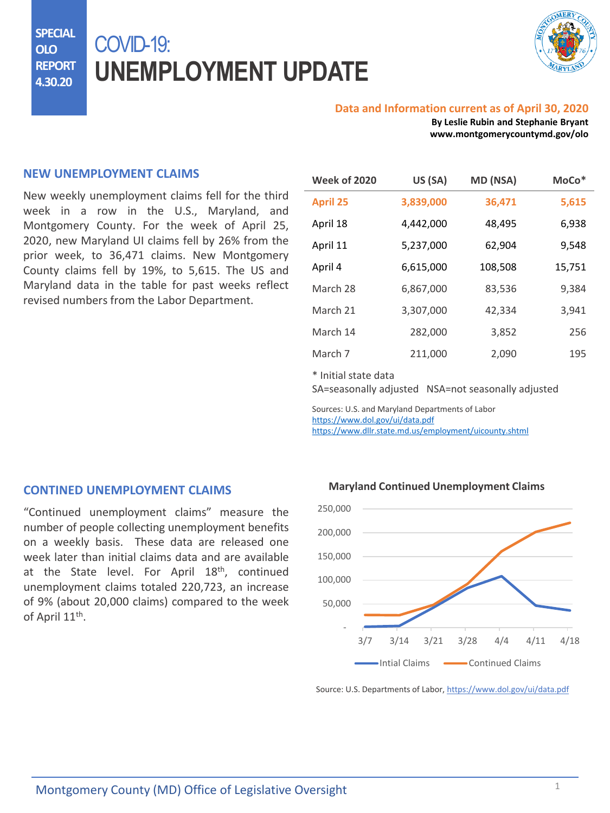**SPECIAL OLO REPORT 4.30.20**

# COVID-19: **UNEMPLOYMENT UPDATE**



#### **Data and Information current as of April 30, 2020**

**By Leslie Rubin and Stephanie Bryant www.montgomerycountymd.gov/olo**

#### **NEW UNEMPLOYMENT CLAIMS**

New weekly unemployment claims fell for the third week in a row in the U.S., Maryland, and Montgomery County. For the week of April 25, 2020, new Maryland UI claims fell by 26% from the prior week, to 36,471 claims. New Montgomery County claims fell by 19%, to 5,615. The US and Maryland data in the table for past weeks reflect revised numbers from the Labor Department.

| <b>Week of 2020</b> | US (SA)   | MD (NSA) | MoCo*  |
|---------------------|-----------|----------|--------|
| <b>April 25</b>     | 3,839,000 | 36,471   | 5,615  |
| April 18            | 4,442,000 | 48,495   | 6,938  |
| April 11            | 5,237,000 | 62,904   | 9,548  |
| April 4             | 6,615,000 | 108,508  | 15,751 |
| March 28            | 6,867,000 | 83,536   | 9,384  |
| March 21            | 3,307,000 | 42,334   | 3,941  |
| March 14            | 282,000   | 3,852    | 256    |
| March 7             | 211,000   | 2,090    | 195    |

\* Initial state data

SA=seasonally adjusted NSA=not seasonally adjusted

Sources: U.S. and Maryland Departments of Labor <https://www.dol.gov/ui/data.pdf> <https://www.dllr.state.md.us/employment/uicounty.shtml>

#### **CONTINED UNEMPLOYMENT CLAIMS**

"Continued unemployment claims" measure the number of people collecting unemployment benefits on a weekly basis. These data are released one week later than initial claims data and are available at the State level. For April 18<sup>th</sup>, [continued](https://www.dllr.state.md.us/employment/clmtguide/uiclmtpamphlet.pdf) unemployment claims totaled 220,723, an increase of 9% (about 20,000 claims) compared to the week of April 11<sup>th</sup>.



Source: U.S. Departments of Labor, <https://www.dol.gov/ui/data.pdf>

#### **Maryland Continued Unemployment Claims**